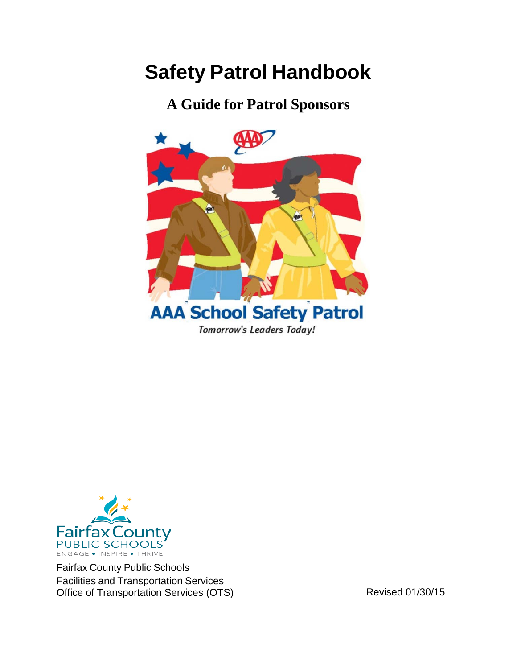# **Safety Patrol Handbook**

**A Guide for Patrol Sponsors**





Fairfax County Public Schools Facilities and Transportation Services Office of Transportation Services (OTS) Revised 01/30/15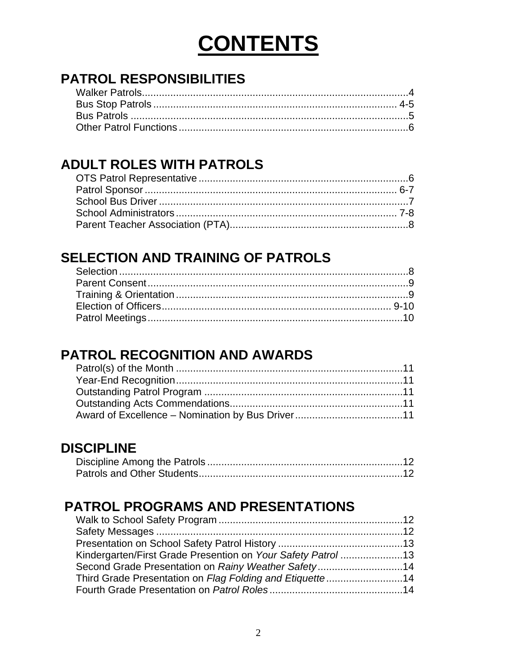# **CONTENTS**

## **PATROL RESPONSIBILITIES**

## **ADULT ROLES WITH PATROLS**

### **SELECTION AND TRAINING OF PATROLS**

### **PATROL RECOGNITION AND AWARDS**

### **DISCIPLINE**

### **PATROL PROGRAMS AND PRESENTATIONS**

| Kindergarten/First Grade Presention on Your Safety Patrol13 |  |
|-------------------------------------------------------------|--|
|                                                             |  |
| Third Grade Presentation on Flag Folding and Etiquette14    |  |
|                                                             |  |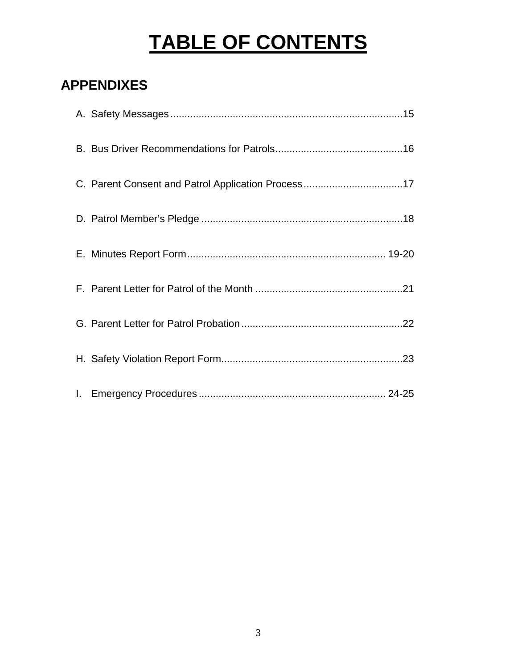# **TABLE OF CONTENTS**

## **APPENDIXES**

| C. Parent Consent and Patrol Application Process17 |
|----------------------------------------------------|
|                                                    |
|                                                    |
|                                                    |
|                                                    |
|                                                    |
|                                                    |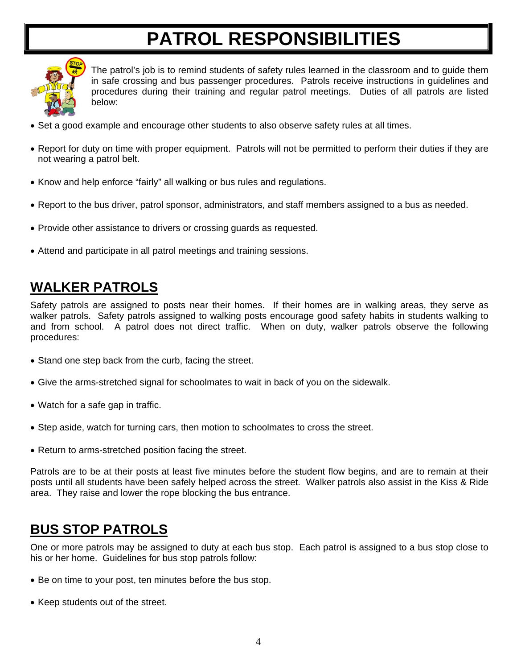# **PATROL RESPONSIBILITIES**



The patrol's job is to remind students of safety rules learned in the classroom and to guide them in safe crossing and bus passenger procedures. Patrols receive instructions in guidelines and procedures during their training and regular patrol meetings. Duties of all patrols are listed below:

- Set a good example and encourage other students to also observe safety rules at all times.
- Report for duty on time with proper equipment. Patrols will not be permitted to perform their duties if they are not wearing a patrol belt.
- Know and help enforce "fairly" all walking or bus rules and regulations.
- Report to the bus driver, patrol sponsor, administrators, and staff members assigned to a bus as needed.
- Provide other assistance to drivers or crossing guards as requested.
- Attend and participate in all patrol meetings and training sessions.

### **WALKER PATROLS**

Safety patrols are assigned to posts near their homes. If their homes are in walking areas, they serve as walker patrols. Safety patrols assigned to walking posts encourage good safety habits in students walking to and from school. A patrol does not direct traffic. When on duty, walker patrols observe the following procedures:

- Stand one step back from the curb, facing the street.
- Give the arms-stretched signal for schoolmates to wait in back of you on the sidewalk.
- Watch for a safe gap in traffic.
- Step aside, watch for turning cars, then motion to schoolmates to cross the street.
- Return to arms-stretched position facing the street.

Patrols are to be at their posts at least five minutes before the student flow begins, and are to remain at their posts until all students have been safely helped across the street. Walker patrols also assist in the Kiss & Ride area. They raise and lower the rope blocking the bus entrance.

### **BUS STOP PATROLS**

One or more patrols may be assigned to duty at each bus stop. Each patrol is assigned to a bus stop close to his or her home. Guidelines for bus stop patrols follow:

- Be on time to your post, ten minutes before the bus stop.
- Keep students out of the street.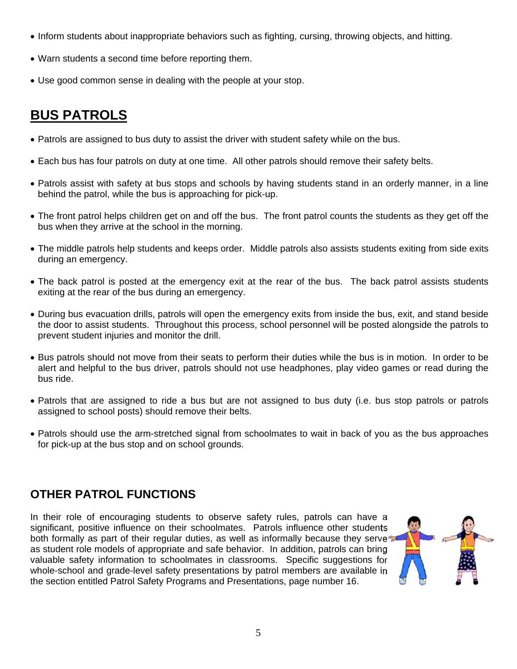- Inform students about inappropriate behaviors such as fighting, cursing, throwing objects, and hitting.
- Warn students a second time before reporting them.
- Use good common sense in dealing with the people at your stop.

### **BUS PATROLS**

- Patrols are assigned to bus duty to assist the driver with student safety while on the bus.
- Each bus has four patrols on duty at one time. All other patrols should remove their safety belts.
- Patrols assist with safety at bus stops and schools by having students stand in an orderly manner, in a line behind the patrol, while the bus is approaching for pick-up.
- The front patrol helps children get on and off the bus. The front patrol counts the students as they get off the bus when they arrive at the school in the morning.
- The middle patrols help students and keeps order. Middle patrols also assists students exiting from side exits during an emergency.
- The back patrol is posted at the emergency exit at the rear of the bus. The back patrol assists students exiting at the rear of the bus during an emergency.
- During bus evacuation drills, patrols will open the emergency exits from inside the bus, exit, and stand beside the door to assist students. Throughout this process, school personnel will be posted alongside the patrols to prevent student injuries and monitor the drill.
- Bus patrols should not move from their seats to perform their duties while the bus is in motion. In order to be alert and helpful to the bus driver, patrols should not use headphones, play video games or read during the bus ride.
- Patrols that are assigned to ride a bus but are not assigned to bus duty (i.e. bus stop patrols or patrols assigned to school posts) should remove their belts.
- Patrols should use the arm-stretched signal from schoolmates to wait in back of you as the bus approaches for pick-up at the bus stop and on school grounds.

#### **OTHER PATROL FUNCTIONS**

In their role of encouraging students to observe safety rules, patrols can have a significant, positive influence on their schoolmates. Patrols influence other students both formally as part of their regular duties, as well as informally because they serve as student role models of appropriate and safe behavior. In addition, patrols can bring valuable safety information to schoolmates in classrooms. Specific suggestions for whole-school and grade-level safety presentations by patrol members are available in the section entitled Patrol Safety Programs and Presentations, page number 16.

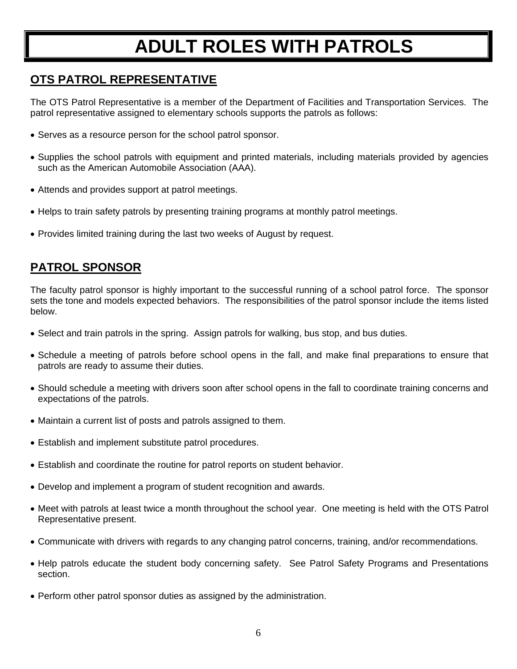# **ADULT ROLES WITH PATROLS**

#### **OTS PATROL REPRESENTATIVE**

The OTS Patrol Representative is a member of the Department of Facilities and Transportation Services. The patrol representative assigned to elementary schools supports the patrols as follows:

- Serves as a resource person for the school patrol sponsor.
- Supplies the school patrols with equipment and printed materials, including materials provided by agencies such as the American Automobile Association (AAA).
- Attends and provides support at patrol meetings.
- Helps to train safety patrols by presenting training programs at monthly patrol meetings.
- Provides limited training during the last two weeks of August by request.

#### **PATROL SPONSOR**

The faculty patrol sponsor is highly important to the successful running of a school patrol force. The sponsor sets the tone and models expected behaviors. The responsibilities of the patrol sponsor include the items listed below.

- Select and train patrols in the spring. Assign patrols for walking, bus stop, and bus duties.
- Schedule a meeting of patrols before school opens in the fall, and make final preparations to ensure that patrols are ready to assume their duties.
- Should schedule a meeting with drivers soon after school opens in the fall to coordinate training concerns and expectations of the patrols.
- Maintain a current list of posts and patrols assigned to them.
- Establish and implement substitute patrol procedures.
- Establish and coordinate the routine for patrol reports on student behavior.
- Develop and implement a program of student recognition and awards.
- Meet with patrols at least twice a month throughout the school year. One meeting is held with the OTS Patrol Representative present.
- Communicate with drivers with regards to any changing patrol concerns, training, and/or recommendations.
- Help patrols educate the student body concerning safety. See Patrol Safety Programs and Presentations section.
- Perform other patrol sponsor duties as assigned by the administration.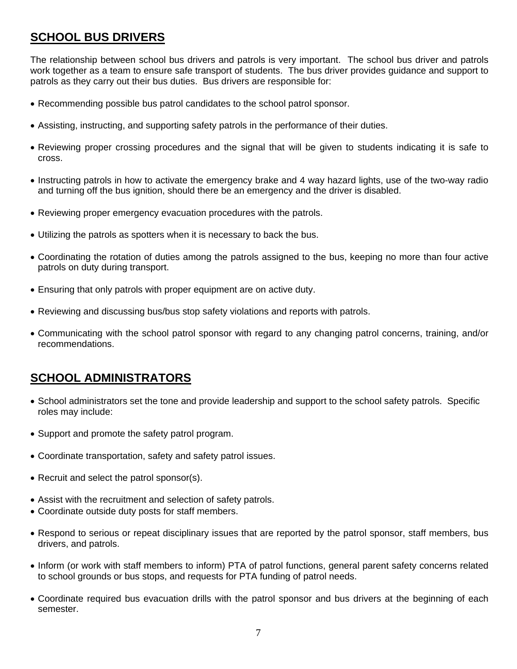#### **SCHOOL BUS DRIVERS**

The relationship between school bus drivers and patrols is very important. The school bus driver and patrols work together as a team to ensure safe transport of students. The bus driver provides guidance and support to patrols as they carry out their bus duties. Bus drivers are responsible for:

- Recommending possible bus patrol candidates to the school patrol sponsor.
- Assisting, instructing, and supporting safety patrols in the performance of their duties.
- Reviewing proper crossing procedures and the signal that will be given to students indicating it is safe to cross.
- Instructing patrols in how to activate the emergency brake and 4 way hazard lights, use of the two-way radio and turning off the bus ignition, should there be an emergency and the driver is disabled.
- Reviewing proper emergency evacuation procedures with the patrols.
- Utilizing the patrols as spotters when it is necessary to back the bus.
- Coordinating the rotation of duties among the patrols assigned to the bus, keeping no more than four active patrols on duty during transport.
- Ensuring that only patrols with proper equipment are on active duty.
- Reviewing and discussing bus/bus stop safety violations and reports with patrols.
- Communicating with the school patrol sponsor with regard to any changing patrol concerns, training, and/or recommendations.

#### **SCHOOL ADMINISTRATORS**

- School administrators set the tone and provide leadership and support to the school safety patrols. Specific roles may include:
- Support and promote the safety patrol program.
- Coordinate transportation, safety and safety patrol issues.
- Recruit and select the patrol sponsor(s).
- Assist with the recruitment and selection of safety patrols.
- Coordinate outside duty posts for staff members.
- Respond to serious or repeat disciplinary issues that are reported by the patrol sponsor, staff members, bus drivers, and patrols.
- Inform (or work with staff members to inform) PTA of patrol functions, general parent safety concerns related to school grounds or bus stops, and requests for PTA funding of patrol needs.
- Coordinate required bus evacuation drills with the patrol sponsor and bus drivers at the beginning of each semester.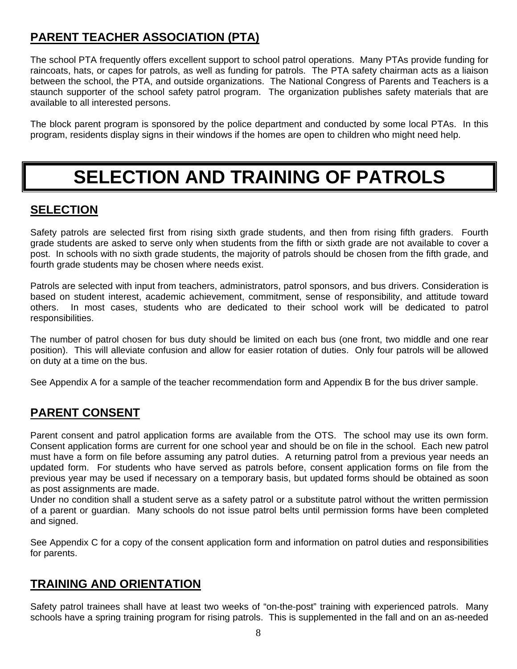### **PARENT TEACHER ASSOCIATION (PTA)**

The school PTA frequently offers excellent support to school patrol operations. Many PTAs provide funding for raincoats, hats, or capes for patrols, as well as funding for patrols. The PTA safety chairman acts as a liaison between the school, the PTA, and outside organizations. The National Congress of Parents and Teachers is a staunch supporter of the school safety patrol program. The organization publishes safety materials that are available to all interested persons.

The block parent program is sponsored by the police department and conducted by some local PTAs. In this program, residents display signs in their windows if the homes are open to children who might need help.

# **SELECTION AND TRAINING OF PATROLS**

#### **SELECTION**

Safety patrols are selected first from rising sixth grade students, and then from rising fifth graders. Fourth grade students are asked to serve only when students from the fifth or sixth grade are not available to cover a post. In schools with no sixth grade students, the majority of patrols should be chosen from the fifth grade, and fourth grade students may be chosen where needs exist.

Patrols are selected with input from teachers, administrators, patrol sponsors, and bus drivers. Consideration is based on student interest, academic achievement, commitment, sense of responsibility, and attitude toward others. In most cases, students who are dedicated to their school work will be dedicated to patrol responsibilities.

The number of patrol chosen for bus duty should be limited on each bus (one front, two middle and one rear position). This will alleviate confusion and allow for easier rotation of duties. Only four patrols will be allowed on duty at a time on the bus.

See Appendix A for a sample of the teacher recommendation form and Appendix B for the bus driver sample.

#### **PARENT CONSENT**

Parent consent and patrol application forms are available from the OTS. The school may use its own form. Consent application forms are current for one school year and should be on file in the school. Each new patrol must have a form on file before assuming any patrol duties. A returning patrol from a previous year needs an updated form. For students who have served as patrols before, consent application forms on file from the previous year may be used if necessary on a temporary basis, but updated forms should be obtained as soon as post assignments are made.

Under no condition shall a student serve as a safety patrol or a substitute patrol without the written permission of a parent or guardian. Many schools do not issue patrol belts until permission forms have been completed and signed.

See Appendix C for a copy of the consent application form and information on patrol duties and responsibilities for parents.

#### **TRAINING AND ORIENTATION**

Safety patrol trainees shall have at least two weeks of "on-the-post" training with experienced patrols. Many schools have a spring training program for rising patrols. This is supplemented in the fall and on an as-needed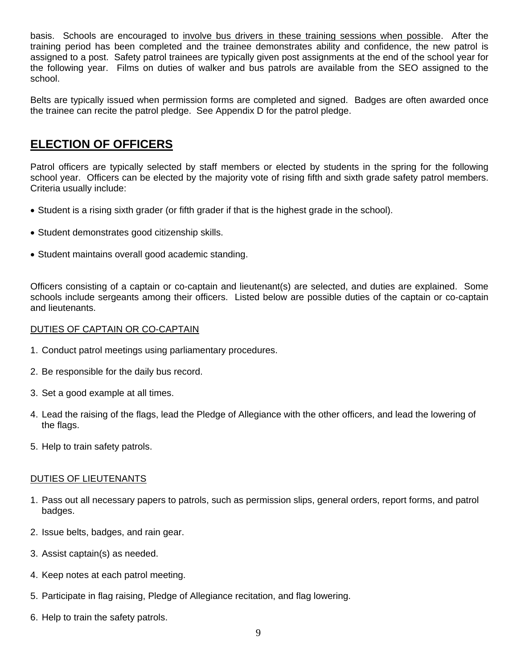basis. Schools are encouraged to involve bus drivers in these training sessions when possible. After the training period has been completed and the trainee demonstrates ability and confidence, the new patrol is assigned to a post. Safety patrol trainees are typically given post assignments at the end of the school year for the following year. Films on duties of walker and bus patrols are available from the SEO assigned to the school.

Belts are typically issued when permission forms are completed and signed. Badges are often awarded once the trainee can recite the patrol pledge. See Appendix D for the patrol pledge.

#### **ELECTION OF OFFICERS**

Patrol officers are typically selected by staff members or elected by students in the spring for the following school year. Officers can be elected by the majority vote of rising fifth and sixth grade safety patrol members. Criteria usually include:

- Student is a rising sixth grader (or fifth grader if that is the highest grade in the school).
- Student demonstrates good citizenship skills.
- Student maintains overall good academic standing.

Officers consisting of a captain or co-captain and lieutenant(s) are selected, and duties are explained. Some schools include sergeants among their officers. Listed below are possible duties of the captain or co-captain and lieutenants.

#### DUTIES OF CAPTAIN OR CO-CAPTAIN

- 1. Conduct patrol meetings using parliamentary procedures.
- 2. Be responsible for the daily bus record.
- 3. Set a good example at all times.
- 4. Lead the raising of the flags, lead the Pledge of Allegiance with the other officers, and lead the lowering of the flags.
- 5. Help to train safety patrols.

#### DUTIES OF LIEUTENANTS

- 1. Pass out all necessary papers to patrols, such as permission slips, general orders, report forms, and patrol badges.
- 2. Issue belts, badges, and rain gear.
- 3. Assist captain(s) as needed.
- 4. Keep notes at each patrol meeting.
- 5. Participate in flag raising, Pledge of Allegiance recitation, and flag lowering.
- 6. Help to train the safety patrols.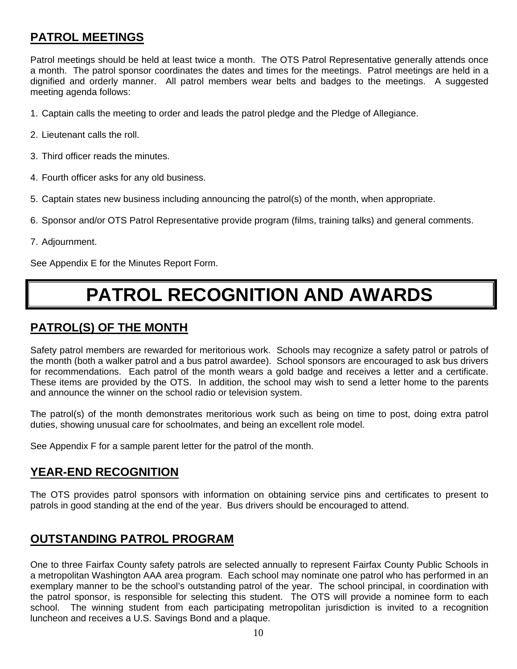#### **PATROL MEETINGS**

Patrol meetings should be held at least twice a month. The OTS Patrol Representative generally attends once a month. The patrol sponsor coordinates the dates and times for the meetings. Patrol meetings are held in a dignified and orderly manner. All patrol members wear belts and badges to the meetings. A suggested meeting agenda follows:

- 1. Captain calls the meeting to order and leads the patrol pledge and the Pledge of Allegiance.
- 2. Lieutenant calls the roll.
- 3. Third officer reads the minutes.
- 4. Fourth officer asks for any old business.
- 5. Captain states new business including announcing the patrol(s) of the month, when appropriate.
- 6. Sponsor and/or OTS Patrol Representative provide program (films, training talks) and general comments.
- 7. Adjournment.

See Appendix E for the Minutes Report Form.

# **PATROL RECOGNITION AND AWARDS**

#### **PATROL(S) OF THE MONTH**

Safety patrol members are rewarded for meritorious work. Schools may recognize a safety patrol or patrols of the month (both a walker patrol and a bus patrol awardee). School sponsors are encouraged to ask bus drivers for recommendations. Each patrol of the month wears a gold badge and receives a letter and a certificate. These items are provided by the OTS. In addition, the school may wish to send a letter home to the parents and announce the winner on the school radio or television system.

The patrol(s) of the month demonstrates meritorious work such as being on time to post, doing extra patrol duties, showing unusual care for schoolmates, and being an excellent role model.

See Appendix F for a sample parent letter for the patrol of the month.

#### **YEAR-END RECOGNITION**

The OTS provides patrol sponsors with information on obtaining service pins and certificates to present to patrols in good standing at the end of the year. Bus drivers should be encouraged to attend.

#### **OUTSTANDING PATROL PROGRAM**

One to three Fairfax County safety patrols are selected annually to represent Fairfax County Public Schools in a metropolitan Washington AAA area program. Each school may nominate one patrol who has performed in an exemplary manner to be the school's outstanding patrol of the year. The school principal, in coordination with the patrol sponsor, is responsible for selecting this student. The OTS will provide a nominee form to each school. The winning student from each participating metropolitan jurisdiction is invited to a recognition luncheon and receives a U.S. Savings Bond and a plaque.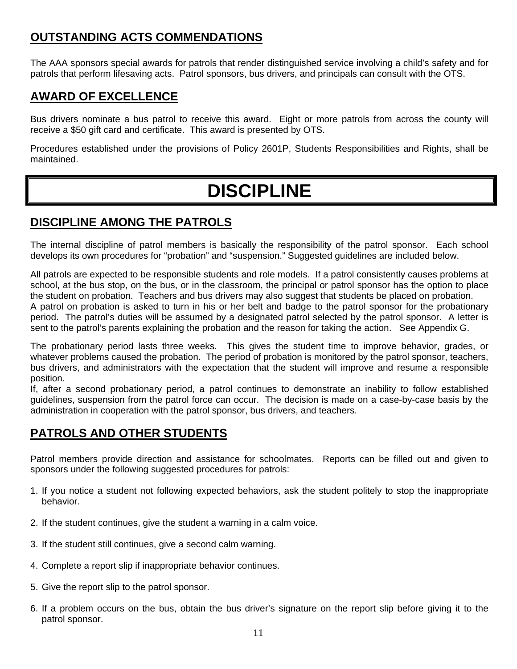#### **OUTSTANDING ACTS COMMENDATIONS**

The AAA sponsors special awards for patrols that render distinguished service involving a child's safety and for patrols that perform lifesaving acts. Patrol sponsors, bus drivers, and principals can consult with the OTS.

#### **AWARD OF EXCELLENCE**

Bus drivers nominate a bus patrol to receive this award. Eight or more patrols from across the county will receive a \$50 gift card and certificate. This award is presented by OTS.

Procedures established under the provisions of Policy 2601P, Students Responsibilities and Rights, shall be maintained.

# **DISCIPLINE**

#### **DISCIPLINE AMONG THE PATROLS**

The internal discipline of patrol members is basically the responsibility of the patrol sponsor. Each school develops its own procedures for "probation" and "suspension." Suggested guidelines are included below.

All patrols are expected to be responsible students and role models. If a patrol consistently causes problems at school, at the bus stop, on the bus, or in the classroom, the principal or patrol sponsor has the option to place the student on probation. Teachers and bus drivers may also suggest that students be placed on probation. A patrol on probation is asked to turn in his or her belt and badge to the patrol sponsor for the probationary period. The patrol's duties will be assumed by a designated patrol selected by the patrol sponsor. A letter is sent to the patrol's parents explaining the probation and the reason for taking the action. See Appendix G.

The probationary period lasts three weeks. This gives the student time to improve behavior, grades, or whatever problems caused the probation. The period of probation is monitored by the patrol sponsor, teachers, bus drivers, and administrators with the expectation that the student will improve and resume a responsible position.

If, after a second probationary period, a patrol continues to demonstrate an inability to follow established guidelines, suspension from the patrol force can occur. The decision is made on a case-by-case basis by the administration in cooperation with the patrol sponsor, bus drivers, and teachers.

#### **PATROLS AND OTHER STUDENTS**

Patrol members provide direction and assistance for schoolmates. Reports can be filled out and given to sponsors under the following suggested procedures for patrols:

- 1. If you notice a student not following expected behaviors, ask the student politely to stop the inappropriate behavior.
- 2. If the student continues, give the student a warning in a calm voice.
- 3. If the student still continues, give a second calm warning.
- 4. Complete a report slip if inappropriate behavior continues.
- 5. Give the report slip to the patrol sponsor.
- 6. If a problem occurs on the bus, obtain the bus driver's signature on the report slip before giving it to the patrol sponsor.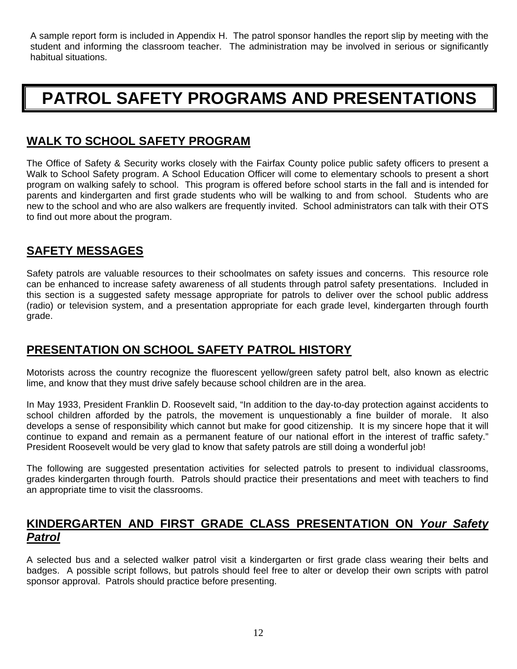A sample report form is included in Appendix H. The patrol sponsor handles the report slip by meeting with the student and informing the classroom teacher. The administration may be involved in serious or significantly habitual situations.

## **PATROL SAFETY PROGRAMS AND PRESENTATIONS**

#### **WALK TO SCHOOL SAFETY PROGRAM**

The Office of Safety & Security works closely with the Fairfax County police public safety officers to present a Walk to School Safety program. A School Education Officer will come to elementary schools to present a short program on walking safely to school. This program is offered before school starts in the fall and is intended for parents and kindergarten and first grade students who will be walking to and from school. Students who are new to the school and who are also walkers are frequently invited. School administrators can talk with their OTS to find out more about the program.

#### **SAFETY MESSAGES**

Safety patrols are valuable resources to their schoolmates on safety issues and concerns. This resource role can be enhanced to increase safety awareness of all students through patrol safety presentations. Included in this section is a suggested safety message appropriate for patrols to deliver over the school public address (radio) or television system, and a presentation appropriate for each grade level, kindergarten through fourth grade.

#### **PRESENTATION ON SCHOOL SAFETY PATROL HISTORY**

Motorists across the country recognize the fluorescent yellow/green safety patrol belt, also known as electric lime, and know that they must drive safely because school children are in the area.

In May 1933, President Franklin D. Roosevelt said, "In addition to the day-to-day protection against accidents to school children afforded by the patrols, the movement is unquestionably a fine builder of morale. It also develops a sense of responsibility which cannot but make for good citizenship. It is my sincere hope that it will continue to expand and remain as a permanent feature of our national effort in the interest of traffic safety." President Roosevelt would be very glad to know that safety patrols are still doing a wonderful job!

The following are suggested presentation activities for selected patrols to present to individual classrooms, grades kindergarten through fourth. Patrols should practice their presentations and meet with teachers to find an appropriate time to visit the classrooms.

#### **KINDERGARTEN AND FIRST GRADE CLASS PRESENTATION ON** *Your Safety Patrol*

A selected bus and a selected walker patrol visit a kindergarten or first grade class wearing their belts and badges. A possible script follows, but patrols should feel free to alter or develop their own scripts with patrol sponsor approval. Patrols should practice before presenting.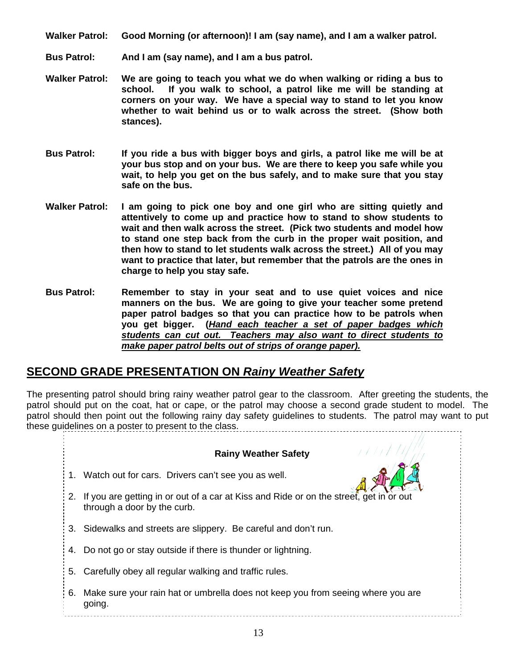- **Walker Patrol: Good Morning (or afternoon)! I am (say name), and I am a walker patrol.**
- **Bus Patrol: And I am (say name), and I am a bus patrol.**
- **Walker Patrol: We are going to teach you what we do when walking or riding a bus to school. If you walk to school, a patrol like me will be standing at corners on your way. We have a special way to stand to let you know whether to wait behind us or to walk across the street. (Show both stances).**
- **Bus Patrol: If you ride a bus with bigger boys and girls, a patrol like me will be at your bus stop and on your bus. We are there to keep you safe while you wait, to help you get on the bus safely, and to make sure that you stay safe on the bus.**
- **Walker Patrol: I am going to pick one boy and one girl who are sitting quietly and attentively to come up and practice how to stand to show students to wait and then walk across the street. (Pick two students and model how to stand one step back from the curb in the proper wait position, and then how to stand to let students walk across the street.) All of you may want to practice that later, but remember that the patrols are the ones in charge to help you stay safe.**
- **Bus Patrol: Remember to stay in your seat and to use quiet voices and nice manners on the bus. We are going to give your teacher some pretend paper patrol badges so that you can practice how to be patrols when you get bigger. (***Hand each teacher a set of paper badges which students can cut out. Teachers may also want to direct students to make paper patrol belts out of strips of orange paper).*

#### **SECOND GRADE PRESENTATION ON** *Rainy Weather Safety*

The presenting patrol should bring rainy weather patrol gear to the classroom. After greeting the students, the patrol should put on the coat, hat or cape, or the patrol may choose a second grade student to model. The patrol should then point out the following rainy day safety guidelines to students. The patrol may want to put these guidelines on a poster to present to the class.

#### **Rainy Weather Safety**

- 1. Watch out for cars. Drivers can't see you as well.
- 2. If you are getting in or out of a car at Kiss and Ride or on the street, get in or out through a door by the curb.
- 3. Sidewalks and streets are slippery. Be careful and don't run.
- 4. Do not go or stay outside if there is thunder or lightning.
- 5. Carefully obey all regular walking and traffic rules.
- 6. Make sure your rain hat or umbrella does not keep you from seeing where you are going.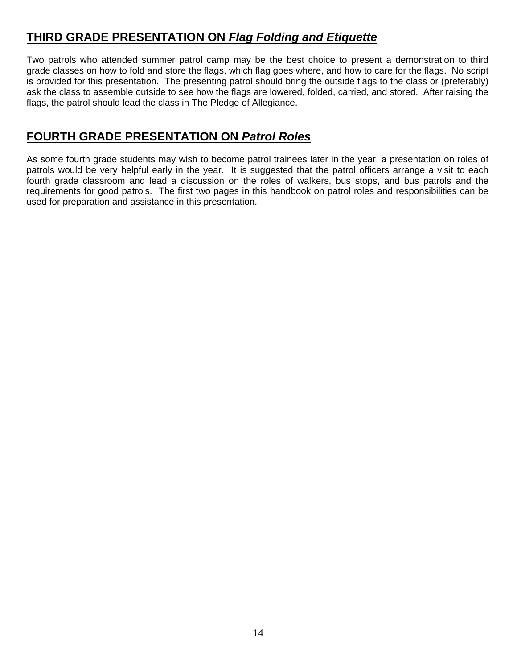#### **THIRD GRADE PRESENTATION ON** *Flag Folding and Etiquette*

Two patrols who attended summer patrol camp may be the best choice to present a demonstration to third grade classes on how to fold and store the flags, which flag goes where, and how to care for the flags. No script is provided for this presentation. The presenting patrol should bring the outside flags to the class or (preferably) ask the class to assemble outside to see how the flags are lowered, folded, carried, and stored. After raising the flags, the patrol should lead the class in The Pledge of Allegiance.

#### **FOURTH GRADE PRESENTATION ON** *Patrol Roles*

As some fourth grade students may wish to become patrol trainees later in the year, a presentation on roles of patrols would be very helpful early in the year. It is suggested that the patrol officers arrange a visit to each fourth grade classroom and lead a discussion on the roles of walkers, bus stops, and bus patrols and the requirements for good patrols. The first two pages in this handbook on patrol roles and responsibilities can be used for preparation and assistance in this presentation.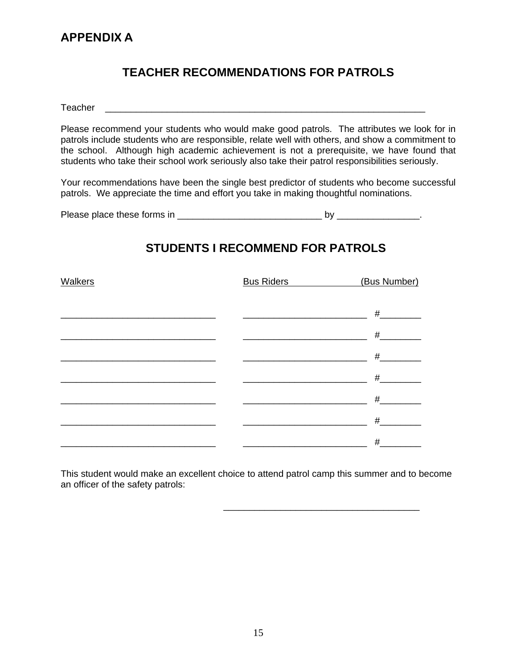#### **TEACHER RECOMMENDATIONS FOR PATROLS**

Teacher **Executive Executive Executive Executive Executive Executive Executive Executive Executive Executive Executive Executive Executive Executive Executive Executive Executive Executive Executive Executive Executive Exe** 

Please recommend your students who would make good patrols. The attributes we look for in patrols include students who are responsible, relate well with others, and show a commitment to the school. Although high academic achievement is not a prerequisite, we have found that students who take their school work seriously also take their patrol responsibilities seriously.

Your recommendations have been the single best predictor of students who become successful patrols. We appreciate the time and effort you take in making thoughtful nominations.

| Please place these forms in |  |  |
|-----------------------------|--|--|
|-----------------------------|--|--|

#### **STUDENTS I RECOMMEND FOR PATROLS**

| <b>Walkers</b> | <b>Bus Riders</b> | (Bus Number) |
|----------------|-------------------|--------------|
|                |                   |              |
|                |                   | #            |
|                |                   | $\#$         |
|                |                   | #            |
|                |                   | #            |
|                |                   | #            |
|                |                   | #            |
|                |                   | #            |

This student would make an excellent choice to attend patrol camp this summer and to become an officer of the safety patrols:

 $\overline{\phantom{a}}$  , and the contract of the contract of the contract of the contract of the contract of the contract of the contract of the contract of the contract of the contract of the contract of the contract of the contrac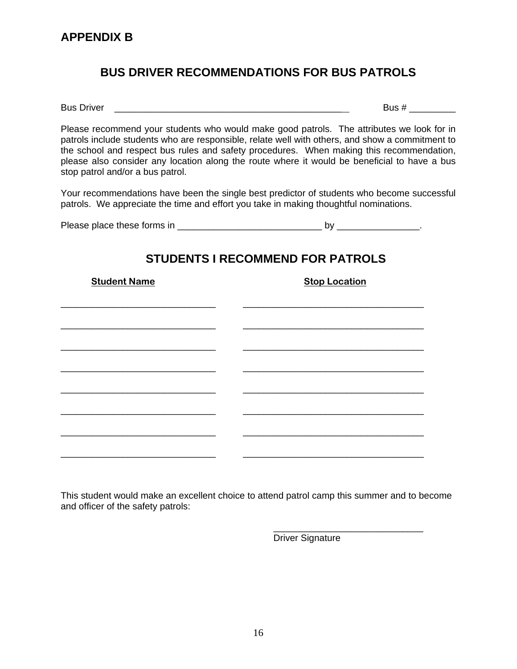#### **BUS DRIVER RECOMMENDATIONS FOR BUS PATROLS**

Bus Driver \_\_\_\_\_\_\_\_\_\_\_\_\_\_\_\_\_\_\_\_\_\_\_\_\_\_\_\_\_\_\_\_\_\_\_\_\_\_\_\_\_\_\_\_ Bus # \_\_\_\_\_\_\_\_\_

Please recommend your students who would make good patrols. The attributes we look for in patrols include students who are responsible, relate well with others, and show a commitment to the school and respect bus rules and safety procedures. When making this recommendation, please also consider any location along the route where it would be beneficial to have a bus stop patrol and/or a bus patrol.

Your recommendations have been the single best predictor of students who become successful patrols. We appreciate the time and effort you take in making thoughtful nominations.

Please place these forms in \_\_\_\_\_\_\_\_\_\_\_\_\_\_\_\_\_\_\_\_\_\_\_\_\_\_\_\_ by \_\_\_\_\_\_\_\_\_\_\_\_\_\_\_\_.

# **STUDENTS I RECOMMEND FOR PATROLS Student Name Stop Location Contract Stop Location** \_\_\_\_\_\_\_\_\_\_\_\_\_\_\_\_\_\_\_\_\_\_\_\_\_\_\_\_\_\_ \_\_\_\_\_\_\_\_\_\_\_\_\_\_\_\_\_\_\_\_\_\_\_\_\_\_\_\_\_\_\_\_\_\_\_ \_\_\_\_\_\_\_\_\_\_\_\_\_\_\_\_\_\_\_\_\_\_\_\_\_\_\_\_\_\_ \_\_\_\_\_\_\_\_\_\_\_\_\_\_\_\_\_\_\_\_\_\_\_\_\_\_\_\_\_\_\_\_\_\_\_ \_\_\_\_\_\_\_\_\_\_\_\_\_\_\_\_\_\_\_\_\_\_\_\_\_\_\_\_\_\_ \_\_\_\_\_\_\_\_\_\_\_\_\_\_\_\_\_\_\_\_\_\_\_\_\_\_\_\_\_\_\_\_\_\_\_ \_\_\_\_\_\_\_\_\_\_\_\_\_\_\_\_\_\_\_\_\_\_\_\_\_\_\_\_\_\_ \_\_\_\_\_\_\_\_\_\_\_\_\_\_\_\_\_\_\_\_\_\_\_\_\_\_\_\_\_\_\_\_\_\_\_ \_\_\_\_\_\_\_\_\_\_\_\_\_\_\_\_\_\_\_\_\_\_\_\_\_\_\_\_\_\_ \_\_\_\_\_\_\_\_\_\_\_\_\_\_\_\_\_\_\_\_\_\_\_\_\_\_\_\_\_\_\_\_\_\_\_ \_\_\_\_\_\_\_\_\_\_\_\_\_\_\_\_\_\_\_\_\_\_\_\_\_\_\_\_\_\_ \_\_\_\_\_\_\_\_\_\_\_\_\_\_\_\_\_\_\_\_\_\_\_\_\_\_\_\_\_\_\_\_\_\_\_ \_\_\_\_\_\_\_\_\_\_\_\_\_\_\_\_\_\_\_\_\_\_\_\_\_\_\_\_\_\_ \_\_\_\_\_\_\_\_\_\_\_\_\_\_\_\_\_\_\_\_\_\_\_\_\_\_\_\_\_\_\_\_\_\_\_ \_\_\_\_\_\_\_\_\_\_\_\_\_\_\_\_\_\_\_\_\_\_\_\_\_\_\_\_\_\_ \_\_\_\_\_\_\_\_\_\_\_\_\_\_\_\_\_\_\_\_\_\_\_\_\_\_\_\_\_\_\_\_\_\_\_

This student would make an excellent choice to attend patrol camp this summer and to become and officer of the safety patrols:

 $\overline{\phantom{a}}$  , and the contract of the contract of the contract of the contract of the contract of the contract of the contract of the contract of the contract of the contract of the contract of the contract of the contrac

Driver Signature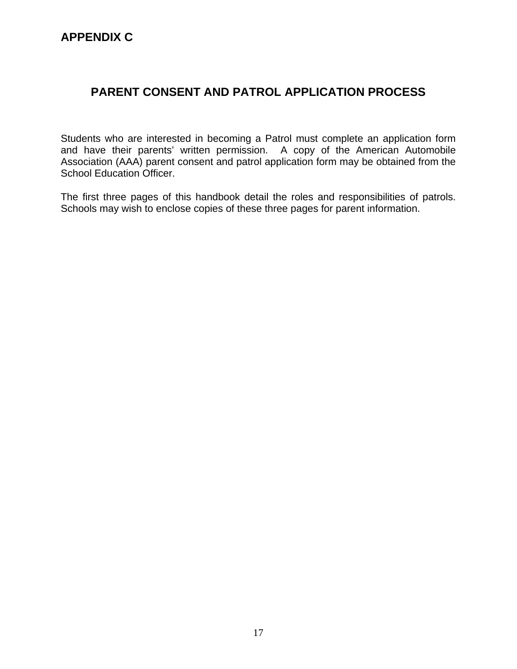#### **APPENDIX C**

#### **PARENT CONSENT AND PATROL APPLICATION PROCESS**

Students who are interested in becoming a Patrol must complete an application form and have their parents' written permission. A copy of the American Automobile Association (AAA) parent consent and patrol application form may be obtained from the School Education Officer.

The first three pages of this handbook detail the roles and responsibilities of patrols. Schools may wish to enclose copies of these three pages for parent information.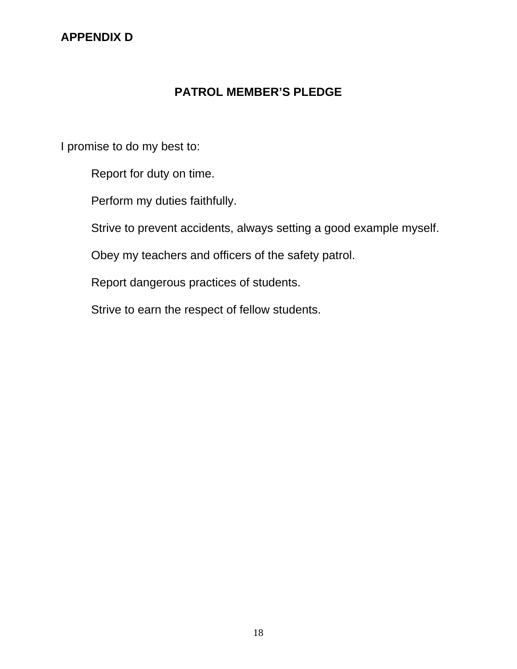#### **APPENDIX D**

#### **PATROL MEMBER'S PLEDGE**

I promise to do my best to:

Report for duty on time.

Perform my duties faithfully.

Strive to prevent accidents, always setting a good example myself.

Obey my teachers and officers of the safety patrol.

Report dangerous practices of students.

Strive to earn the respect of fellow students.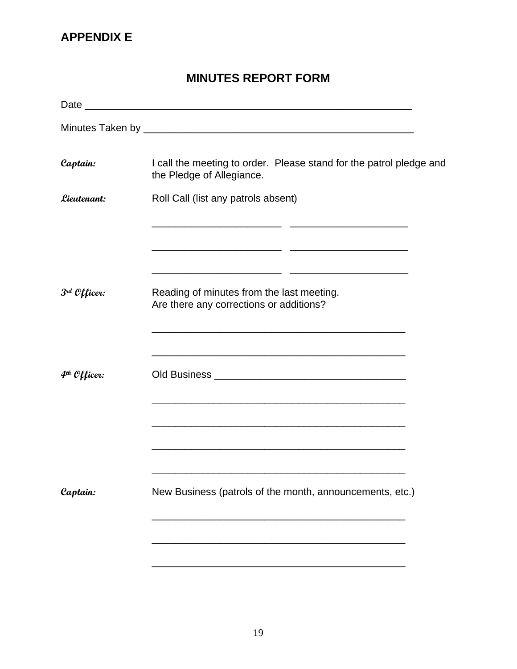#### **APPENDIX E**

#### **MINUTES REPORT FORM**

| Captain:                 | I call the meeting to order. Please stand for the patrol pledge and<br>the Pledge of Allegiance. |
|--------------------------|--------------------------------------------------------------------------------------------------|
| Lieutenant:              | Roll Call (list any patrols absent)                                                              |
|                          |                                                                                                  |
|                          |                                                                                                  |
| 3rd Officer:             | Reading of minutes from the last meeting.<br>Are there any corrections or additions?             |
|                          |                                                                                                  |
| 4 <sup>th</sup> Officer: | <u> 1989 - Johann Stoff, amerikansk politiker (d. 1989)</u>                                      |
|                          |                                                                                                  |
|                          |                                                                                                  |
| Captain:                 | New Business (patrols of the month, announcements, etc.)                                         |
|                          |                                                                                                  |
|                          |                                                                                                  |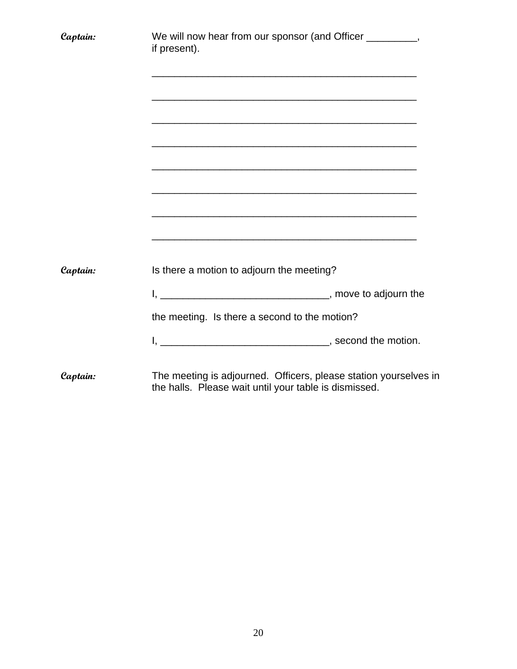| Captain: | We will now hear from our sponsor (and Officer __________,<br>if present).<br><u> 1989 - Johann Stoff, amerikansk politiker (d. 1989)</u> |  |
|----------|-------------------------------------------------------------------------------------------------------------------------------------------|--|
|          | <u> 1980 - Johann Stoff, amerikansk politiker (* 1908)</u>                                                                                |  |
| Captain: | Is there a motion to adjourn the meeting?                                                                                                 |  |
|          | the meeting. Is there a second to the motion?                                                                                             |  |
|          |                                                                                                                                           |  |
| Captain: | The meeting is adjourned. Officers, please station yourselves in<br>the halls. Please wait until your table is dismissed.                 |  |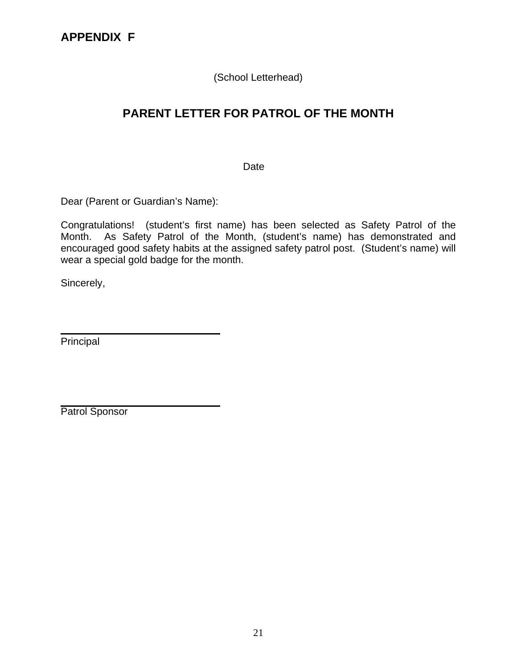(School Letterhead)

### **PARENT LETTER FOR PATROL OF THE MONTH**

Date

Dear (Parent or Guardian's Name):

Congratulations! (student's first name) has been selected as Safety Patrol of the Month. As Safety Patrol of the Month, (student's name) has demonstrated and encouraged good safety habits at the assigned safety patrol post. (Student's name) will wear a special gold badge for the month.

Sincerely,

Principal

Patrol Sponsor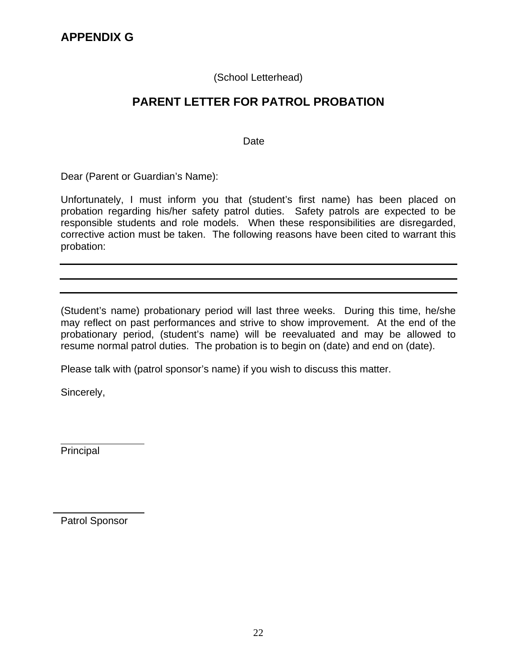#### (School Letterhead)

#### **PARENT LETTER FOR PATROL PROBATION**

**Date Date Date** 

Dear (Parent or Guardian's Name):

Unfortunately, I must inform you that (student's first name) has been placed on probation regarding his/her safety patrol duties. Safety patrols are expected to be responsible students and role models. When these responsibilities are disregarded, corrective action must be taken. The following reasons have been cited to warrant this probation:

(Student's name) probationary period will last three weeks. During this time, he/she may reflect on past performances and strive to show improvement. At the end of the probationary period, (student's name) will be reevaluated and may be allowed to resume normal patrol duties. The probation is to begin on (date) and end on (date).

Please talk with (patrol sponsor's name) if you wish to discuss this matter.

Sincerely,

Principal

Patrol Sponsor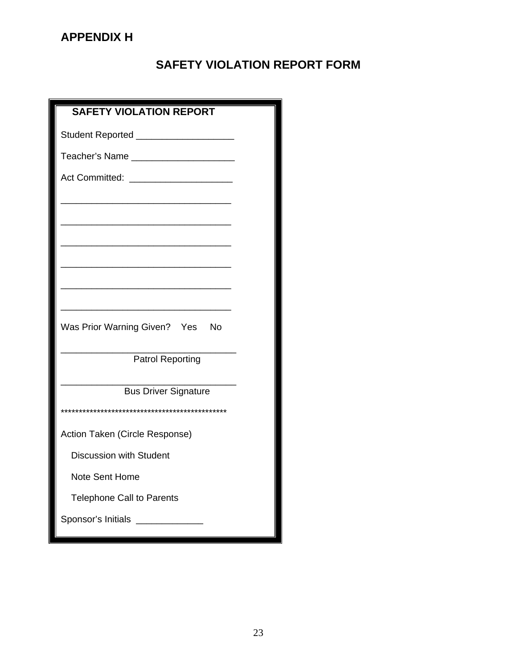#### **APPENDIX H**

### **SAFETY VIOLATION REPORT FORM**

| <b>SAFETY VIOLATION REPORT</b>         |
|----------------------------------------|
| Student Reported _____________________ |
|                                        |
|                                        |
|                                        |
|                                        |
|                                        |
|                                        |
|                                        |
|                                        |
| Was Prior Warning Given? Yes No        |
| <b>Patrol Reporting</b>                |
| <b>Bus Driver Signature</b>            |
|                                        |
| Action Taken (Circle Response)         |
| <b>Discussion with Student</b>         |
| <b>Note Sent Home</b>                  |
|                                        |
| <b>Telephone Call to Parents</b>       |
| Sponsor's Initials <b>Fig. 1.1200</b>  |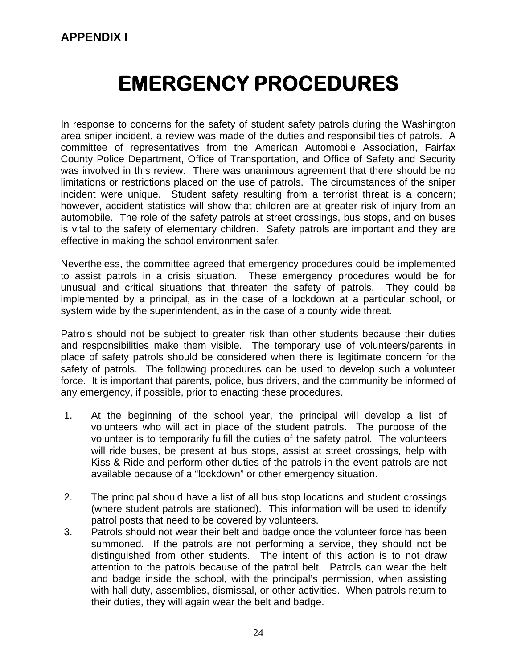# **EMERGENCY PROCEDURES**

In response to concerns for the safety of student safety patrols during the Washington area sniper incident, a review was made of the duties and responsibilities of patrols. A committee of representatives from the American Automobile Association, Fairfax County Police Department, Office of Transportation, and Office of Safety and Security was involved in this review. There was unanimous agreement that there should be no limitations or restrictions placed on the use of patrols. The circumstances of the sniper incident were unique. Student safety resulting from a terrorist threat is a concern; however, accident statistics will show that children are at greater risk of injury from an automobile. The role of the safety patrols at street crossings, bus stops, and on buses is vital to the safety of elementary children. Safety patrols are important and they are effective in making the school environment safer.

Nevertheless, the committee agreed that emergency procedures could be implemented to assist patrols in a crisis situation. These emergency procedures would be for unusual and critical situations that threaten the safety of patrols. They could be implemented by a principal, as in the case of a lockdown at a particular school, or system wide by the superintendent, as in the case of a county wide threat.

Patrols should not be subject to greater risk than other students because their duties and responsibilities make them visible. The temporary use of volunteers/parents in place of safety patrols should be considered when there is legitimate concern for the safety of patrols. The following procedures can be used to develop such a volunteer force. It is important that parents, police, bus drivers, and the community be informed of any emergency, if possible, prior to enacting these procedures.

- 1. At the beginning of the school year, the principal will develop a list of volunteers who will act in place of the student patrols. The purpose of the volunteer is to temporarily fulfill the duties of the safety patrol. The volunteers will ride buses, be present at bus stops, assist at street crossings, help with Kiss & Ride and perform other duties of the patrols in the event patrols are not available because of a "lockdown" or other emergency situation.
- 2. The principal should have a list of all bus stop locations and student crossings (where student patrols are stationed). This information will be used to identify patrol posts that need to be covered by volunteers.
- 3. Patrols should not wear their belt and badge once the volunteer force has been summoned. If the patrols are not performing a service, they should not be distinguished from other students. The intent of this action is to not draw attention to the patrols because of the patrol belt. Patrols can wear the belt and badge inside the school, with the principal's permission, when assisting with hall duty, assemblies, dismissal, or other activities. When patrols return to their duties, they will again wear the belt and badge.